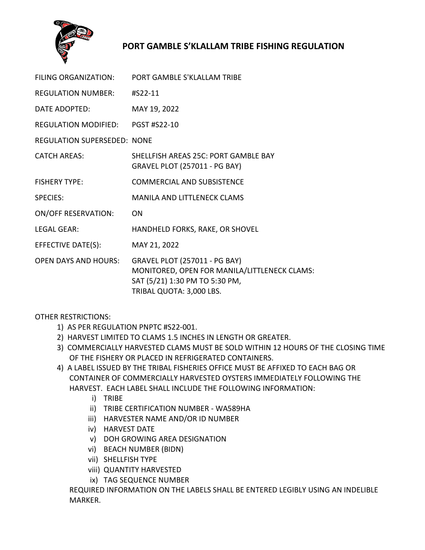

## **PORT GAMBLE S'KLALLAM TRIBE FISHING REGULATION**

| FILING ORGANIZATION:        | PORT GAMBLE S'KLALLAM TRIBE                                                                                                                 |
|-----------------------------|---------------------------------------------------------------------------------------------------------------------------------------------|
| <b>REGULATION NUMBER:</b>   | #S22-11                                                                                                                                     |
| DATE ADOPTED:               | MAY 19, 2022                                                                                                                                |
| <b>REGULATION MODIFIED:</b> | <b>PGST #S22-10</b>                                                                                                                         |
| REGULATION SUPERSEDED: NONE |                                                                                                                                             |
| <b>CATCH AREAS:</b>         | SHELLFISH AREAS 25C: PORT GAMBLE BAY<br><b>GRAVEL PLOT (257011 - PG BAY)</b>                                                                |
| <b>FISHERY TYPE:</b>        | <b>COMMERCIAL AND SUBSISTENCE</b>                                                                                                           |
| <b>SPECIES:</b>             | <b>MANILA AND LITTLENECK CLAMS</b>                                                                                                          |
| <b>ON/OFF RESERVATION:</b>  | <b>ON</b>                                                                                                                                   |
| <b>LEGAL GEAR:</b>          | HANDHELD FORKS, RAKE, OR SHOVEL                                                                                                             |
| EFFECTIVE DATE(S):          | MAY 21, 2022                                                                                                                                |
| <b>OPEN DAYS AND HOURS:</b> | GRAVEL PLOT (257011 - PG BAY)<br>MONITORED, OPEN FOR MANILA/LITTLENECK CLAMS:<br>SAT (5/21) 1:30 PM TO 5:30 PM,<br>TRIBAL QUOTA: 3,000 LBS. |

OTHER RESTRICTIONS:

- 1) AS PER REGULATION PNPTC #S22-001.
- 2) HARVEST LIMITED TO CLAMS 1.5 INCHES IN LENGTH OR GREATER.
- 3) COMMERCIALLY HARVESTED CLAMS MUST BE SOLD WITHIN 12 HOURS OF THE CLOSING TIME OF THE FISHERY OR PLACED IN REFRIGERATED CONTAINERS.
- 4) A LABEL ISSUED BY THE TRIBAL FISHERIES OFFICE MUST BE AFFIXED TO EACH BAG OR CONTAINER OF COMMERCIALLY HARVESTED OYSTERS IMMEDIATELY FOLLOWING THE HARVEST. EACH LABEL SHALL INCLUDE THE FOLLOWING INFORMATION:
	- i) TRIBE
	- ii) TRIBE CERTIFICATION NUMBER WA589HA
	- iii) HARVESTER NAME AND/OR ID NUMBER
	- iv) HARVEST DATE
	- v) DOH GROWING AREA DESIGNATION
	- vi) BEACH NUMBER (BIDN)
	- vii) SHELLFISH TYPE
	- viii) QUANTITY HARVESTED
	- ix) TAG SEQUENCE NUMBER

REQUIRED INFORMATION ON THE LABELS SHALL BE ENTERED LEGIBLY USING AN INDELIBLE MARKER.